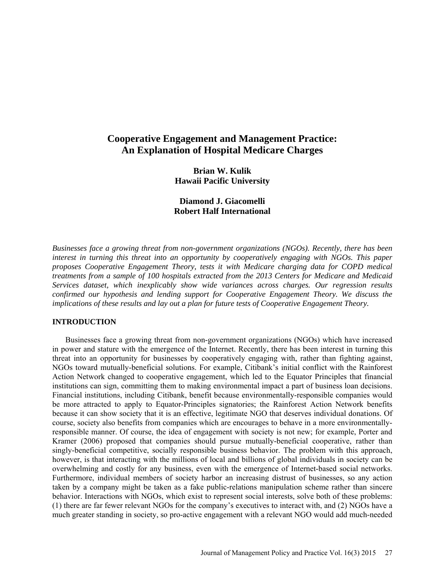# **Cooperative Engagement and Management Practice: An Explanation of Hospital Medicare Charges**

**Brian W. Kulik Hawaii Pacific University**

**Diamond J. Giacomelli Robert Half International**

*Businesses face a growing threat from non-government organizations (NGOs). Recently, there has been interest in turning this threat into an opportunity by cooperatively engaging with NGOs. This paper proposes Cooperative Engagement Theory, tests it with Medicare charging data for COPD medical treatments from a sample of 100 hospitals extracted from the 2013 Centers for Medicare and Medicaid Services dataset, which inexplicably show wide variances across charges. Our regression results confirmed our hypothesis and lending support for Cooperative Engagement Theory. We discuss the implications of these results and lay out a plan for future tests of Cooperative Engagement Theory.*

### **INTRODUCTION**

Businesses face a growing threat from non-government organizations (NGOs) which have increased in power and stature with the emergence of the Internet. Recently, there has been interest in turning this threat into an opportunity for businesses by cooperatively engaging with, rather than fighting against, NGOs toward mutually-beneficial solutions. For example, Citibank's initial conflict with the Rainforest Action Network changed to cooperative engagement, which led to the Equator Principles that financial institutions can sign, committing them to making environmental impact a part of business loan decisions. Financial institutions, including Citibank, benefit because environmentally-responsible companies would be more attracted to apply to Equator-Principles signatories; the Rainforest Action Network benefits because it can show society that it is an effective, legitimate NGO that deserves individual donations. Of course, society also benefits from companies which are encourages to behave in a more environmentallyresponsible manner. Of course, the idea of engagement with society is not new; for example, Porter and Kramer (2006) proposed that companies should pursue mutually-beneficial cooperative, rather than singly-beneficial competitive, socially responsible business behavior. The problem with this approach, however, is that interacting with the millions of local and billions of global individuals in society can be overwhelming and costly for any business, even with the emergence of Internet-based social networks. Furthermore, individual members of society harbor an increasing distrust of businesses, so any action taken by a company might be taken as a fake public-relations manipulation scheme rather than sincere behavior. Interactions with NGOs, which exist to represent social interests, solve both of these problems: (1) there are far fewer relevant NGOs for the company's executives to interact with, and (2) NGOs have a much greater standing in society, so pro-active engagement with a relevant NGO would add much-needed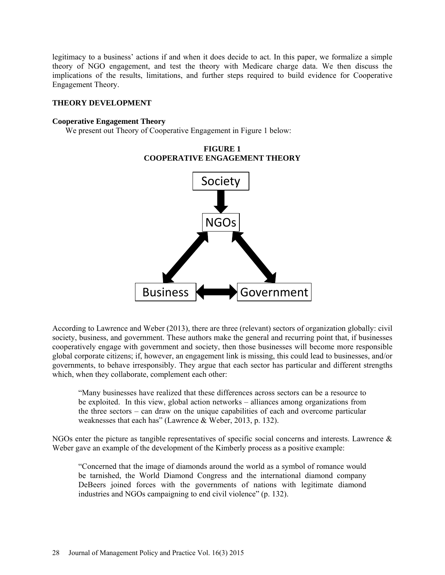legitimacy to a business' actions if and when it does decide to act. In this paper, we formalize a simple theory of NGO engagement, and test the theory with Medicare charge data. We then discuss the implications of the results, limitations, and further steps required to build evidence for Cooperative Engagement Theory.

### **THEORY DEVELOPMENT**

### **Cooperative Engagement Theory**

We present out Theory of Cooperative Engagement in Figure 1 below:



**FIGURE 1 COOPERATIVE ENGAGEMENT THEORY**

According to Lawrence and Weber (2013), there are three (relevant) sectors of organization globally: civil society, business, and government. These authors make the general and recurring point that, if businesses cooperatively engage with government and society, then those businesses will become more responsible global corporate citizens; if, however, an engagement link is missing, this could lead to businesses, and/or governments, to behave irresponsibly. They argue that each sector has particular and different strengths which, when they collaborate, complement each other:

"Many businesses have realized that these differences across sectors can be a resource to be exploited. In this view, global action networks – alliances among organizations from the three sectors – can draw on the unique capabilities of each and overcome particular weaknesses that each has" (Lawrence & Weber, 2013, p. 132).

NGOs enter the picture as tangible representatives of specific social concerns and interests. Lawrence & Weber gave an example of the development of the Kimberly process as a positive example:

"Concerned that the image of diamonds around the world as a symbol of romance would be tarnished, the World Diamond Congress and the international diamond company DeBeers joined forces with the governments of nations with legitimate diamond industries and NGOs campaigning to end civil violence" (p. 132).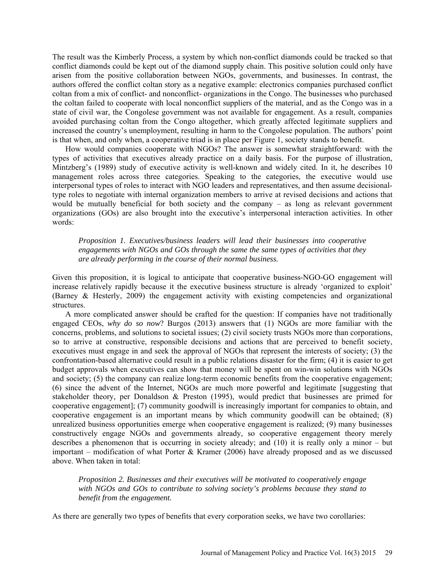The result was the Kimberly Process, a system by which non-conflict diamonds could be tracked so that conflict diamonds could be kept out of the diamond supply chain. This positive solution could only have arisen from the positive collaboration between NGOs, governments, and businesses. In contrast, the authors offered the conflict coltan story as a negative example: electronics companies purchased conflict coltan from a mix of conflict- and nonconflict- organizations in the Congo. The businesses who purchased the coltan failed to cooperate with local nonconflict suppliers of the material, and as the Congo was in a state of civil war, the Congolese government was not available for engagement. As a result, companies avoided purchasing coltan from the Congo altogether, which greatly affected legitimate suppliers and increased the country's unemployment, resulting in harm to the Congolese population. The authors' point is that when, and only when, a cooperative triad is in place per Figure 1, society stands to benefit.

How would companies cooperate with NGOs? The answer is somewhat straightforward: with the types of activities that executives already practice on a daily basis. For the purpose of illustration, Mintzberg's (1989) study of executive activity is well-known and widely cited. In it, he describes 10 management roles across three categories. Speaking to the categories, the executive would use interpersonal types of roles to interact with NGO leaders and representatives, and then assume decisionaltype roles to negotiate with internal organization members to arrive at revised decisions and actions that would be mutually beneficial for both society and the company – as long as relevant government organizations (GOs) are also brought into the executive's interpersonal interaction activities. In other words:

*Proposition 1. Executives/business leaders will lead their businesses into cooperative engagements with NGOs and GOs through the same the same types of activities that they are already performing in the course of their normal business.*

Given this proposition, it is logical to anticipate that cooperative business-NGO-GO engagement will increase relatively rapidly because it the executive business structure is already 'organized to exploit' (Barney & Hesterly, 2009) the engagement activity with existing competencies and organizational **structures** 

A more complicated answer should be crafted for the question: If companies have not traditionally engaged CEOs, *why do so now*? Burgos (2013) answers that (1) NGOs are more familiar with the concerns, problems, and solutions to societal issues; (2) civil society trusts NGOs more than corporations, so to arrive at constructive, responsible decisions and actions that are perceived to benefit society, executives must engage in and seek the approval of NGOs that represent the interests of society; (3) the confrontation-based alternative could result in a public relations disaster for the firm; (4) it is easier to get budget approvals when executives can show that money will be spent on win-win solutions with NGOs and society; (5) the company can realize long-term economic benefits from the cooperative engagement; (6) since the advent of the Internet, NGOs are much more powerful and legitimate [suggesting that stakeholder theory, per Donaldson & Preston (1995), would predict that businesses are primed for cooperative engagement]; (7) community goodwill is increasingly important for companies to obtain, and cooperative engagement is an important means by which community goodwill can be obtained; (8) unrealized business opportunities emerge when cooperative engagement is realized; (9) many businesses constructively engage NGOs and governments already, so cooperative engagement theory merely describes a phenomenon that is occurring in society already; and (10) it is really only a minor – but important – modification of what Porter & Kramer (2006) have already proposed and as we discussed above. When taken in total:

*Proposition 2. Businesses and their executives will be motivated to cooperatively engage with NGOs and GOs to contribute to solving society's problems because they stand to benefit from the engagement.*

As there are generally two types of benefits that every corporation seeks, we have two corollaries: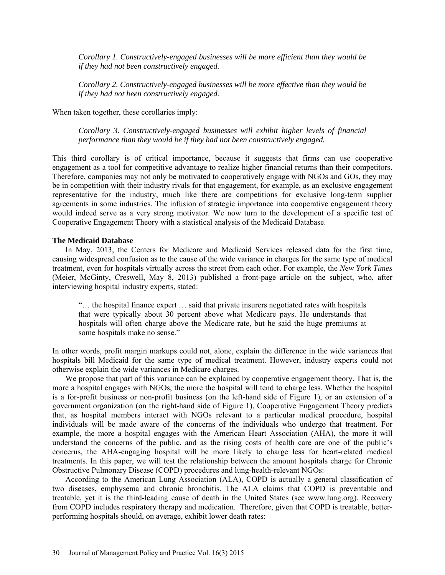*Corollary 1. Constructively-engaged businesses will be more efficient than they would be if they had not been constructively engaged.*

*Corollary 2. Constructively-engaged businesses will be more effective than they would be if they had not been constructively engaged.*

When taken together, these corollaries imply:

*Corollary 3. Constructively-engaged businesses will exhibit higher levels of financial performance than they would be if they had not been constructively engaged.*

This third corollary is of critical importance, because it suggests that firms can use cooperative engagement as a tool for competitive advantage to realize higher financial returns than their competitors. Therefore, companies may not only be motivated to cooperatively engage with NGOs and GOs, they may be in competition with their industry rivals for that engagement, for example, as an exclusive engagement representative for the industry, much like there are competitions for exclusive long-term supplier agreements in some industries. The infusion of strategic importance into cooperative engagement theory would indeed serve as a very strong motivator. We now turn to the development of a specific test of Cooperative Engagement Theory with a statistical analysis of the Medicaid Database.

#### **The Medicaid Database**

In May, 2013, the Centers for Medicare and Medicaid Services released data for the first time, causing widespread confusion as to the cause of the wide variance in charges for the same type of medical treatment, even for hospitals virtually across the street from each other. For example, the *New York Times* (Meier, McGinty, Creswell, May 8, 2013) published a front-page article on the subject, who, after interviewing hospital industry experts, stated:

"… the hospital finance expert … said that private insurers negotiated rates with hospitals that were typically about 30 percent above what Medicare pays. He understands that hospitals will often charge above the Medicare rate, but he said the huge premiums at some hospitals make no sense."

In other words, profit margin markups could not, alone, explain the difference in the wide variances that hospitals bill Medicaid for the same type of medical treatment. However, industry experts could not otherwise explain the wide variances in Medicare charges.

We propose that part of this variance can be explained by cooperative engagement theory. That is, the more a hospital engages with NGOs, the more the hospital will tend to charge less. Whether the hospital is a for-profit business or non-profit business (on the left-hand side of Figure 1), or an extension of a government organization (on the right-hand side of Figure 1), Cooperative Engagement Theory predicts that, as hospital members interact with NGOs relevant to a particular medical procedure, hospital individuals will be made aware of the concerns of the individuals who undergo that treatment. For example, the more a hospital engages with the American Heart Association (AHA), the more it will understand the concerns of the public, and as the rising costs of health care are one of the public's concerns, the AHA-engaging hospital will be more likely to charge less for heart-related medical treatments. In this paper, we will test the relationship between the amount hospitals charge for Chronic Obstructive Pulmonary Disease (COPD) procedures and lung-health-relevant NGOs:

According to the American Lung Association (ALA), COPD is actually a general classification of two diseases, emphysema and chronic bronchitis. The ALA claims that COPD is preventable and treatable, yet it is the third-leading cause of death in the United States (see www.lung.org). Recovery from COPD includes respiratory therapy and medication. Therefore, given that COPD is treatable, betterperforming hospitals should, on average, exhibit lower death rates: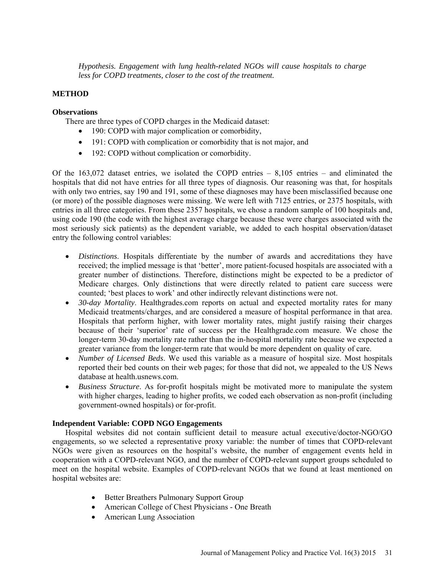*Hypothesis. Engagement with lung health-related NGOs will cause hospitals to charge less for COPD treatments, closer to the cost of the treatment.*

# **METHOD**

### **Observations**

There are three types of COPD charges in the Medicaid dataset:

- 190: COPD with major complication or comorbidity,
- 191: COPD with complication or comorbidity that is not major, and
- 192: COPD without complication or comorbidity.

Of the 163,072 dataset entries, we isolated the COPD entries – 8,105 entries – and eliminated the hospitals that did not have entries for all three types of diagnosis. Our reasoning was that, for hospitals with only two entries, say 190 and 191, some of these diagnoses may have been misclassified because one (or more) of the possible diagnoses were missing. We were left with 7125 entries, or 2375 hospitals, with entries in all three categories. From these 2357 hospitals, we chose a random sample of 100 hospitals and, using code 190 (the code with the highest average charge because these were charges associated with the most seriously sick patients) as the dependent variable, we added to each hospital observation/dataset entry the following control variables:

- *Distinctions*. Hospitals differentiate by the number of awards and accreditations they have received; the implied message is that 'better', more patient-focused hospitals are associated with a greater number of distinctions. Therefore, distinctions might be expected to be a predictor of Medicare charges. Only distinctions that were directly related to patient care success were counted; 'best places to work' and other indirectly relevant distinctions were not.
- *30-day Mortality*. Healthgrades.com reports on actual and expected mortality rates for many Medicaid treatments/charges, and are considered a measure of hospital performance in that area. Hospitals that perform higher, with lower mortality rates, might justify raising their charges because of their 'superior' rate of success per the Healthgrade.com measure. We chose the longer-term 30-day mortality rate rather than the in-hospital mortality rate because we expected a greater variance from the longer-term rate that would be more dependent on quality of care.
- *Number of Licensed Beds*. We used this variable as a measure of hospital size. Most hospitals reported their bed counts on their web pages; for those that did not, we appealed to the US News database at health.usnews.com.
- *Business Structure*. As for-profit hospitals might be motivated more to manipulate the system with higher charges, leading to higher profits, we coded each observation as non-profit (including government-owned hospitals) or for-profit.

# **Independent Variable: COPD NGO Engagements**

Hospital websites did not contain sufficient detail to measure actual executive/doctor-NGO/GO engagements, so we selected a representative proxy variable: the number of times that COPD-relevant NGOs were given as resources on the hospital's website, the number of engagement events held in cooperation with a COPD-relevant NGO, and the number of COPD-relevant support groups scheduled to meet on the hospital website. Examples of COPD-relevant NGOs that we found at least mentioned on hospital websites are:

- Better Breathers Pulmonary Support Group
- American College of Chest Physicians One Breath
- American Lung Association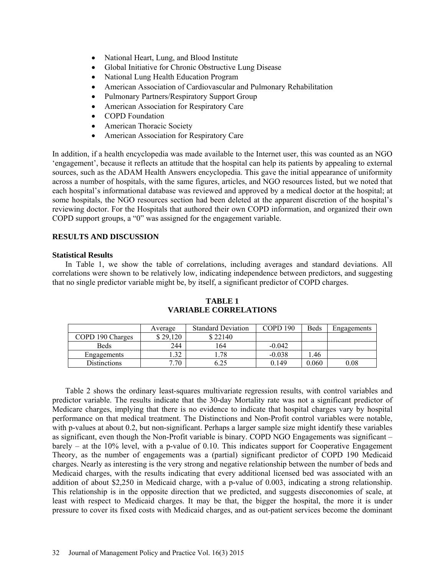- National Heart, Lung, and Blood Institute
- Global Initiative for Chronic Obstructive Lung Disease
- National Lung Health Education Program
- American Association of Cardiovascular and Pulmonary Rehabilitation
- Pulmonary Partners/Respiratory Support Group
- American Association for Respiratory Care
- COPD Foundation
- American Thoracic Society
- American Association for Respiratory Care

In addition, if a health encyclopedia was made available to the Internet user, this was counted as an NGO 'engagement', because it reflects an attitude that the hospital can help its patients by appealing to external sources, such as the ADAM Health Answers encyclopedia. This gave the initial appearance of uniformity across a number of hospitals, with the same figures, articles, and NGO resources listed, but we noted that each hospital's informational database was reviewed and approved by a medical doctor at the hospital; at some hospitals, the NGO resources section had been deleted at the apparent discretion of the hospital's reviewing doctor. For the Hospitals that authored their own COPD information, and organized their own COPD support groups, a "0" was assigned for the engagement variable.

# **RESULTS AND DISCUSSION**

#### **Statistical Results**

In Table 1, we show the table of correlations, including averages and standard deviations. All correlations were shown to be relatively low, indicating independence between predictors, and suggesting that no single predictor variable might be, by itself, a significant predictor of COPD charges.

|                  | Average  | <b>Standard Deviation</b> | COPD 190 | Beds  | Engagements |
|------------------|----------|---------------------------|----------|-------|-------------|
| COPD 190 Charges | \$29,120 | \$22140                   |          |       |             |
| <b>Beds</b>      | 244      | 164                       | $-0.042$ |       |             |
| Engagements      | 22       | .78                       | $-0.038$ | .46   |             |
| Distinctions     | 7.70     |                           | 0.149    | 0.060 | 0.08        |

## **TABLE 1 VARIABLE CORRELATIONS**

Table 2 shows the ordinary least-squares multivariate regression results, with control variables and predictor variable. The results indicate that the 30-day Mortality rate was not a significant predictor of Medicare charges, implying that there is no evidence to indicate that hospital charges vary by hospital performance on that medical treatment. The Distinctions and Non-Profit control variables were notable, with p-values at about 0.2, but non-significant. Perhaps a larger sample size might identify these variables as significant, even though the Non-Profit variable is binary. COPD NGO Engagements was significant – barely – at the 10% level, with a p-value of 0.10. This indicates support for Cooperative Engagement Theory, as the number of engagements was a (partial) significant predictor of COPD 190 Medicaid charges. Nearly as interesting is the very strong and negative relationship between the number of beds and Medicaid charges, with the results indicating that every additional licensed bed was associated with an addition of about \$2,250 in Medicaid charge, with a p-value of 0.003, indicating a strong relationship. This relationship is in the opposite direction that we predicted, and suggests diseconomies of scale, at least with respect to Medicaid charges. It may be that, the bigger the hospital, the more it is under pressure to cover its fixed costs with Medicaid charges, and as out-patient services become the dominant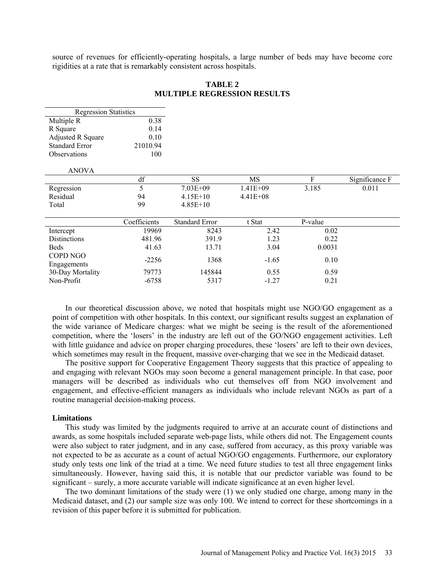source of revenues for efficiently-operating hospitals, a large number of beds may have become core rigidities at a rate that is remarkably consistent across hospitals.

| <b>Regression Statistics</b> |              |                       |              |         |                |
|------------------------------|--------------|-----------------------|--------------|---------|----------------|
| Multiple R                   | 0.38         |                       |              |         |                |
| R Square                     | 0.14         |                       |              |         |                |
| <b>Adjusted R Square</b>     | 0.10         |                       |              |         |                |
| <b>Standard Error</b>        | 21010.94     |                       |              |         |                |
| <b>Observations</b>          | 100          |                       |              |         |                |
| <b>ANOVA</b>                 |              |                       |              |         |                |
|                              | df           | <b>SS</b>             | MS           | F       | Significance F |
| Regression                   | 5            | $7.03E + 09$          | $1.41E + 09$ | 3.185   | 0.011          |
| Residual                     | 94           | $4.15E+10$            | $4.41E + 08$ |         |                |
| Total                        | 99           | $4.85E+10$            |              |         |                |
|                              |              |                       |              |         |                |
|                              | Coefficients | <b>Standard Error</b> | t Stat       | P-value |                |
| Intercept                    | 19969        | 8243                  | 2.42         | 0.02    |                |
| <b>Distinctions</b>          | 481.96       | 391.9                 | 1.23         | 0.22    |                |
| <b>Beds</b>                  | 41.63        | 13.71                 | 3.04         | 0.0031  |                |
| COPD NGO                     | $-2256$      | 1368                  | $-1.65$      | 0.10    |                |
| Engagements                  |              |                       |              |         |                |
| 30-Day Mortality             | 79773        | 145844                | 0.55         | 0.59    |                |
| Non-Profit                   | $-6758$      | 5317                  | $-1.27$      | 0.21    |                |

**TABLE 2 MULTIPLE REGRESSION RESULTS**

In our theoretical discussion above, we noted that hospitals might use NGO/GO engagement as a point of competition with other hospitals. In this context, our significant results suggest an explanation of the wide variance of Medicare charges: what we might be seeing is the result of the aforementioned competition, where the 'losers' in the industry are left out of the GO/NGO engagement activities. Left with little guidance and advice on proper charging procedures, these 'losers' are left to their own devices, which sometimes may result in the frequent, massive over-charging that we see in the Medicaid dataset.

The positive support for Cooperative Engagement Theory suggests that this practice of appealing to and engaging with relevant NGOs may soon become a general management principle. In that case, poor managers will be described as individuals who cut themselves off from NGO involvement and engagement, and effective-efficient managers as individuals who include relevant NGOs as part of a routine managerial decision-making process.

#### **Limitations**

This study was limited by the judgments required to arrive at an accurate count of distinctions and awards, as some hospitals included separate web-page lists, while others did not. The Engagement counts were also subject to rater judgment, and in any case, suffered from accuracy, as this proxy variable was not expected to be as accurate as a count of actual NGO/GO engagements. Furthermore, our exploratory study only tests one link of the triad at a time. We need future studies to test all three engagement links simultaneously. However, having said this, it is notable that our predictor variable was found to be significant – surely, a more accurate variable will indicate significance at an even higher level.

The two dominant limitations of the study were (1) we only studied one charge, among many in the Medicaid dataset, and (2) our sample size was only 100. We intend to correct for these shortcomings in a revision of this paper before it is submitted for publication.